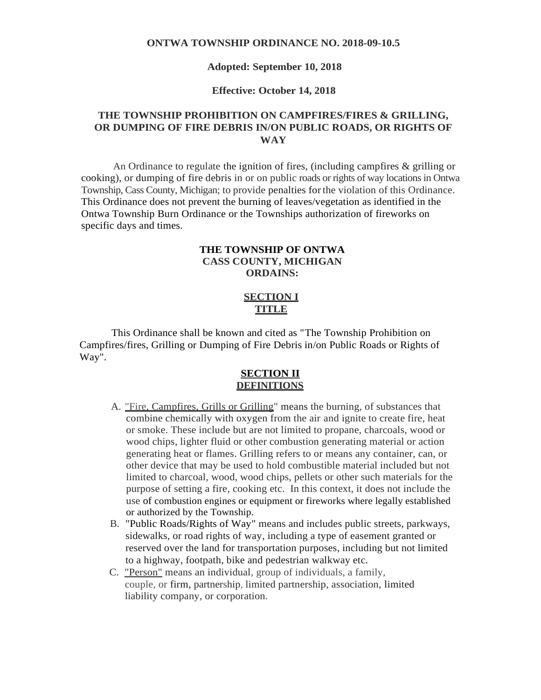#### **ONTWA TOWNSHIP ORDINANCE NO. 2018-09-10.5**

#### **Adopted: September 10, 2018**

#### **Effective: October 14, 2018**

# **THE TOWNSHIP PROHIBITION ON CAMPFIRES/FIRES & GRILLING, OR DUMPING OF FIRE DEBRIS IN/ON PUBLIC ROADS, OR RIGHTS OF WAY**

An Ordinance to regulate the ignition of fires, (including campfires & grilling or cooking), or dumping of fire debris in or on public roads or rights of way locationsin Ontwa Township, Cass County, Michigan; to provide penalties forthe violation of this Ordinance. This Ordinance does not prevent the burning of leaves/vegetation as identified in the Ontwa Township Burn Ordinance or the Townships authorization of fireworks on specific days and times.

### **THE TOWNSHIP OF ONTWA CASS COUNTY, MICHIGAN ORDAINS:**

# **SECTION I TITLE**

This Ordinance shall be known and cited as "The Township Prohibition on Campfires/fires, Grilling or Dumping of Fire Debris in/on Public Roads or Rights of Way".

### **SECTION II DEFINITIONS**

- A. "Fire, Campfires, Grills or Grilling" means the burning, of substances that combine chemically with oxygen from the air and ignite to create fire, heat or smoke. These include but are not limited to propane, charcoals, wood or wood chips, lighter fluid or other combustion generating material or action generating heat or flames. Grilling refers to or means any container, can, or other device that may be used to hold combustible material included but not limited to charcoal, wood, wood chips, pellets or other such materials for the purpose of setting a fire, cooking etc. In this context, it does not include the use of combustion engines or equipment or fireworks where legally established or authorized by the Township.
- B. "Public Roads/Rights of Way" means and includes public streets, parkways, sidewalks, or road rights of way, including a type of easement granted or reserved over the land for transportation purposes, including but not limited to a highway, footpath, bike and pedestrian walkway etc.
- C. "Person" means an individual, group of individuals, a family, couple, or firm, partnership, limited partnership, association, limited liability company, or corporation.